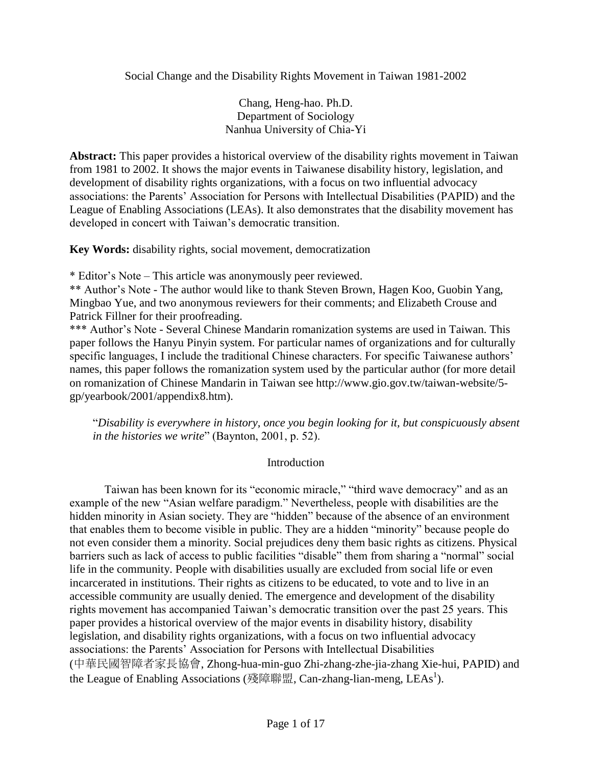Social Change and the Disability Rights Movement in Taiwan 1981-2002

Chang, Heng-hao. Ph.D. Department of Sociology Nanhua University of Chia-Yi

**Abstract:** This paper provides a historical overview of the disability rights movement in Taiwan from 1981 to 2002. It shows the major events in Taiwanese disability history, legislation, and development of disability rights organizations, with a focus on two influential advocacy associations: the Parents' Association for Persons with Intellectual Disabilities (PAPID) and the League of Enabling Associations (LEAs). It also demonstrates that the disability movement has developed in concert with Taiwan's democratic transition.

**Key Words:** disability rights, social movement, democratization

\* Editor's Note – This article was anonymously peer reviewed.

\*\* Author's Note - The author would like to thank Steven Brown, Hagen Koo, Guobin Yang, Mingbao Yue, and two anonymous reviewers for their comments; and Elizabeth Crouse and Patrick Fillner for their proofreading.

\*\*\* Author's Note - Several Chinese Mandarin romanization systems are used in Taiwan. This paper follows the Hanyu Pinyin system. For particular names of organizations and for culturally specific languages, I include the traditional Chinese characters. For specific Taiwanese authors' names, this paper follows the romanization system used by the particular author (for more detail on romanization of Chinese Mandarin in Taiwan see http://www.gio.gov.tw/taiwan-website/5 gp/yearbook/2001/appendix8.htm).

"*Disability is everywhere in history, once you begin looking for it, but conspicuously absent in the histories we write*" (Baynton, 2001, p. 52).

# Introduction

Taiwan has been known for its "economic miracle," "third wave democracy" and as an example of the new "Asian welfare paradigm." Nevertheless, people with disabilities are the hidden minority in Asian society. They are "hidden" because of the absence of an environment that enables them to become visible in public. They are a hidden "minority" because people do not even consider them a minority. Social prejudices deny them basic rights as citizens. Physical barriers such as lack of access to public facilities "disable" them from sharing a "normal" social life in the community. People with disabilities usually are excluded from social life or even incarcerated in institutions. Their rights as citizens to be educated, to vote and to live in an accessible community are usually denied. The emergence and development of the disability rights movement has accompanied Taiwan's democratic transition over the past 25 years. This paper provides a historical overview of the major events in disability history, disability legislation, and disability rights organizations, with a focus on two influential advocacy associations: the Parents' Association for Persons with Intellectual Disabilities (中華民國智障者家長協會, Zhong-hua-min-guo Zhi-zhang-zhe-jia-zhang Xie-hui, PAPID) and the League of Enabling Associations (殘障聯盟, Can-zhang-lian-meng, LEAs<sup>1</sup>).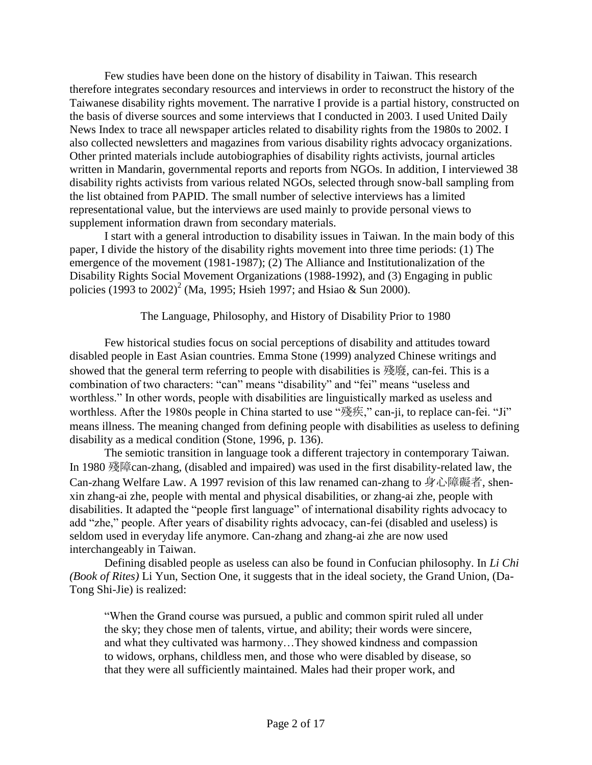Few studies have been done on the history of disability in Taiwan. This research therefore integrates secondary resources and interviews in order to reconstruct the history of the Taiwanese disability rights movement. The narrative I provide is a partial history, constructed on the basis of diverse sources and some interviews that I conducted in 2003. I used United Daily News Index to trace all newspaper articles related to disability rights from the 1980s to 2002. I also collected newsletters and magazines from various disability rights advocacy organizations. Other printed materials include autobiographies of disability rights activists, journal articles written in Mandarin, governmental reports and reports from NGOs. In addition, I interviewed 38 disability rights activists from various related NGOs, selected through snow-ball sampling from the list obtained from PAPID. The small number of selective interviews has a limited representational value, but the interviews are used mainly to provide personal views to supplement information drawn from secondary materials.

I start with a general introduction to disability issues in Taiwan. In the main body of this paper, I divide the history of the disability rights movement into three time periods: (1) The emergence of the movement (1981-1987); (2) The Alliance and Institutionalization of the Disability Rights Social Movement Organizations (1988-1992), and (3) Engaging in public policies  $(1993 \text{ to } 2002)^2$  (Ma, 1995; Hsieh 1997; and Hsiao & Sun 2000).

#### The Language, Philosophy, and History of Disability Prior to 1980

Few historical studies focus on social perceptions of disability and attitudes toward disabled people in East Asian countries. Emma Stone (1999) analyzed Chinese writings and showed that the general term referring to people with disabilities is 殘廢, can-fei. This is a combination of two characters: "can" means "disability" and "fei" means "useless and worthless." In other words, people with disabilities are linguistically marked as useless and worthless. After the 1980s people in China started to use "殘疾," can-ji, to replace can-fei. "Ji" means illness. The meaning changed from defining people with disabilities as useless to defining disability as a medical condition (Stone, 1996, p. 136).

The semiotic transition in language took a different trajectory in contemporary Taiwan. In 1980 殘障can-zhang, (disabled and impaired) was used in the first disability-related law, the Can-zhang Welfare Law. A 1997 revision of this law renamed can-zhang to 身心障礙者, shenxin zhang-ai zhe, people with mental and physical disabilities, or zhang-ai zhe, people with disabilities. It adapted the "people first language" of international disability rights advocacy to add "zhe," people. After years of disability rights advocacy, can-fei (disabled and useless) is seldom used in everyday life anymore. Can-zhang and zhang-ai zhe are now used interchangeably in Taiwan.

Defining disabled people as useless can also be found in Confucian philosophy. In *Li Chi (Book of Rites)* Li Yun, Section One, it suggests that in the ideal society, the Grand Union, (Da-Tong Shi-Jie) is realized:

"When the Grand course was pursued, a public and common spirit ruled all under the sky; they chose men of talents, virtue, and ability; their words were sincere, and what they cultivated was harmony…They showed kindness and compassion to widows, orphans, childless men, and those who were disabled by disease, so that they were all sufficiently maintained. Males had their proper work, and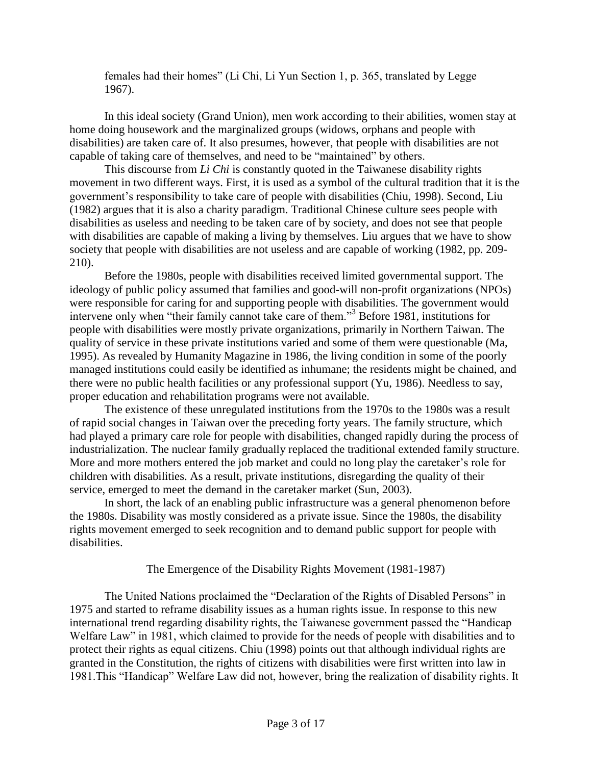females had their homes" (Li Chi, Li Yun Section 1, p. 365, translated by Legge 1967).

In this ideal society (Grand Union), men work according to their abilities, women stay at home doing housework and the marginalized groups (widows, orphans and people with disabilities) are taken care of. It also presumes, however, that people with disabilities are not capable of taking care of themselves, and need to be "maintained" by others.

This discourse from *Li Chi* is constantly quoted in the Taiwanese disability rights movement in two different ways. First, it is used as a symbol of the cultural tradition that it is the government's responsibility to take care of people with disabilities (Chiu, 1998). Second, Liu (1982) argues that it is also a charity paradigm. Traditional Chinese culture sees people with disabilities as useless and needing to be taken care of by society, and does not see that people with disabilities are capable of making a living by themselves. Liu argues that we have to show society that people with disabilities are not useless and are capable of working (1982, pp. 209- 210).

Before the 1980s, people with disabilities received limited governmental support. The ideology of public policy assumed that families and good-will non-profit organizations (NPOs) were responsible for caring for and supporting people with disabilities. The government would intervene only when "their family cannot take care of them."<sup>3</sup> Before 1981, institutions for people with disabilities were mostly private organizations, primarily in Northern Taiwan. The quality of service in these private institutions varied and some of them were questionable (Ma, 1995). As revealed by Humanity Magazine in 1986, the living condition in some of the poorly managed institutions could easily be identified as inhumane; the residents might be chained, and there were no public health facilities or any professional support (Yu, 1986). Needless to say, proper education and rehabilitation programs were not available.

The existence of these unregulated institutions from the 1970s to the 1980s was a result of rapid social changes in Taiwan over the preceding forty years. The family structure, which had played a primary care role for people with disabilities, changed rapidly during the process of industrialization. The nuclear family gradually replaced the traditional extended family structure. More and more mothers entered the job market and could no long play the caretaker's role for children with disabilities. As a result, private institutions, disregarding the quality of their service, emerged to meet the demand in the caretaker market (Sun, 2003).

In short, the lack of an enabling public infrastructure was a general phenomenon before the 1980s. Disability was mostly considered as a private issue. Since the 1980s, the disability rights movement emerged to seek recognition and to demand public support for people with disabilities.

The Emergence of the Disability Rights Movement (1981-1987)

The United Nations proclaimed the "Declaration of the Rights of Disabled Persons" in 1975 and started to reframe disability issues as a human rights issue. In response to this new international trend regarding disability rights, the Taiwanese government passed the "Handicap Welfare Law" in 1981, which claimed to provide for the needs of people with disabilities and to protect their rights as equal citizens. Chiu (1998) points out that although individual rights are granted in the Constitution, the rights of citizens with disabilities were first written into law in 1981.This "Handicap" Welfare Law did not, however, bring the realization of disability rights. It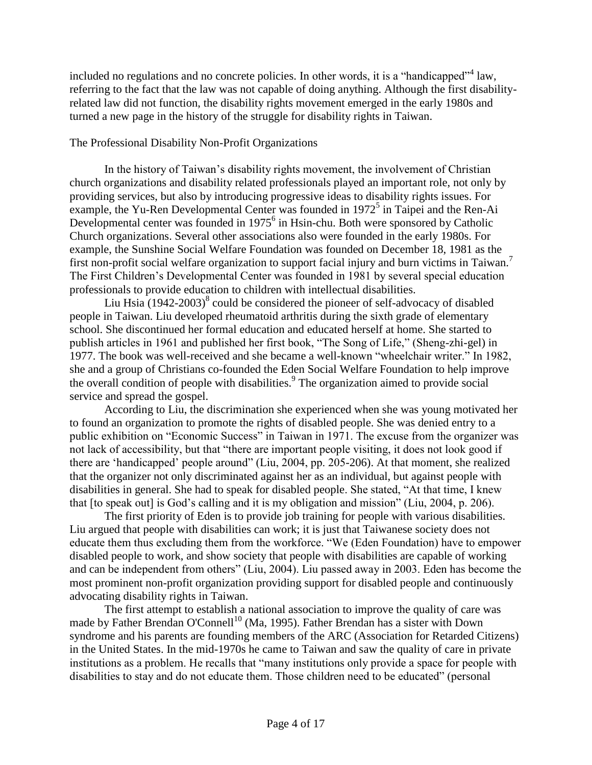included no regulations and no concrete policies. In other words, it is a "handicapped"<sup>4</sup> law, referring to the fact that the law was not capable of doing anything. Although the first disabilityrelated law did not function, the disability rights movement emerged in the early 1980s and turned a new page in the history of the struggle for disability rights in Taiwan.

## The Professional Disability Non-Profit Organizations

In the history of Taiwan's disability rights movement, the involvement of Christian church organizations and disability related professionals played an important role, not only by providing services, but also by introducing progressive ideas to disability rights issues. For example, the Yu-Ren Developmental Center was founded in 1972<sup>5</sup> in Taipei and the Ren-Ai Developmental center was founded in 1975<sup>6</sup> in Hsin-chu. Both were sponsored by Catholic Church organizations. Several other associations also were founded in the early 1980s. For example, the Sunshine Social Welfare Foundation was founded on December 18, 1981 as the first non-profit social welfare organization to support facial injury and burn victims in Taiwan.<sup>7</sup> The First Children's Developmental Center was founded in 1981 by several special education professionals to provide education to children with intellectual disabilities.

Liu Hsia  $(1942-2003)^8$  could be considered the pioneer of self-advocacy of disabled people in Taiwan. Liu developed rheumatoid arthritis during the sixth grade of elementary school. She discontinued her formal education and educated herself at home. She started to publish articles in 1961 and published her first book, "The Song of Life," (Sheng-zhi-gel) in 1977. The book was well-received and she became a well-known "wheelchair writer." In 1982, she and a group of Christians co-founded the Eden Social Welfare Foundation to help improve the overall condition of people with disabilities.<sup>9</sup> The organization aimed to provide social service and spread the gospel.

According to Liu, the discrimination she experienced when she was young motivated her to found an organization to promote the rights of disabled people. She was denied entry to a public exhibition on "Economic Success" in Taiwan in 1971. The excuse from the organizer was not lack of accessibility, but that "there are important people visiting, it does not look good if there are 'handicapped' people around" (Liu, 2004, pp. 205-206). At that moment, she realized that the organizer not only discriminated against her as an individual, but against people with disabilities in general. She had to speak for disabled people. She stated, "At that time, I knew that [to speak out] is God's calling and it is my obligation and mission" (Liu, 2004, p. 206).

The first priority of Eden is to provide job training for people with various disabilities. Liu argued that people with disabilities can work; it is just that Taiwanese society does not educate them thus excluding them from the workforce. "We (Eden Foundation) have to empower disabled people to work, and show society that people with disabilities are capable of working and can be independent from others" (Liu, 2004). Liu passed away in 2003. Eden has become the most prominent non-profit organization providing support for disabled people and continuously advocating disability rights in Taiwan.

The first attempt to establish a national association to improve the quality of care was made by Father Brendan O'Connell<sup>10</sup> (Ma, 1995). Father Brendan has a sister with Down syndrome and his parents are founding members of the ARC (Association for Retarded Citizens) in the United States. In the mid-1970s he came to Taiwan and saw the quality of care in private institutions as a problem. He recalls that "many institutions only provide a space for people with disabilities to stay and do not educate them. Those children need to be educated" (personal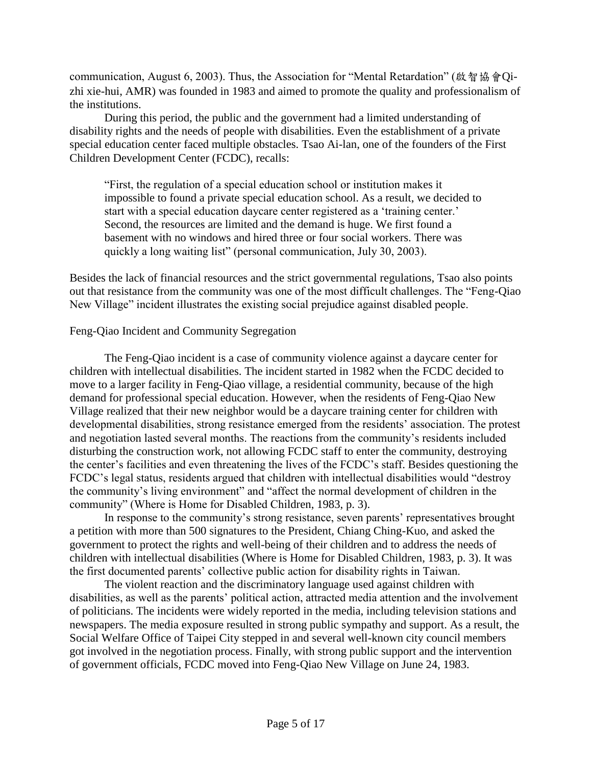communication, August 6, 2003). Thus, the Association for "Mental Retardation" (啟智協會Qizhi xie-hui, AMR) was founded in 1983 and aimed to promote the quality and professionalism of the institutions.

During this period, the public and the government had a limited understanding of disability rights and the needs of people with disabilities. Even the establishment of a private special education center faced multiple obstacles. Tsao Ai-lan, one of the founders of the First Children Development Center (FCDC), recalls:

"First, the regulation of a special education school or institution makes it impossible to found a private special education school. As a result, we decided to start with a special education daycare center registered as a 'training center.' Second, the resources are limited and the demand is huge. We first found a basement with no windows and hired three or four social workers. There was quickly a long waiting list" (personal communication, July 30, 2003).

Besides the lack of financial resources and the strict governmental regulations, Tsao also points out that resistance from the community was one of the most difficult challenges. The "Feng-Qiao New Village" incident illustrates the existing social prejudice against disabled people.

### Feng-Qiao Incident and Community Segregation

The Feng-Qiao incident is a case of community violence against a daycare center for children with intellectual disabilities. The incident started in 1982 when the FCDC decided to move to a larger facility in Feng-Qiao village, a residential community, because of the high demand for professional special education. However, when the residents of Feng-Qiao New Village realized that their new neighbor would be a daycare training center for children with developmental disabilities, strong resistance emerged from the residents' association. The protest and negotiation lasted several months. The reactions from the community's residents included disturbing the construction work, not allowing FCDC staff to enter the community, destroying the center's facilities and even threatening the lives of the FCDC's staff. Besides questioning the FCDC's legal status, residents argued that children with intellectual disabilities would "destroy the community's living environment" and "affect the normal development of children in the community" (Where is Home for Disabled Children, 1983, p. 3).

In response to the community's strong resistance, seven parents' representatives brought a petition with more than 500 signatures to the President, Chiang Ching-Kuo, and asked the government to protect the rights and well-being of their children and to address the needs of children with intellectual disabilities (Where is Home for Disabled Children, 1983, p. 3). It was the first documented parents' collective public action for disability rights in Taiwan.

The violent reaction and the discriminatory language used against children with disabilities, as well as the parents' political action, attracted media attention and the involvement of politicians. The incidents were widely reported in the media, including television stations and newspapers. The media exposure resulted in strong public sympathy and support. As a result, the Social Welfare Office of Taipei City stepped in and several well-known city council members got involved in the negotiation process. Finally, with strong public support and the intervention of government officials, FCDC moved into Feng-Qiao New Village on June 24, 1983.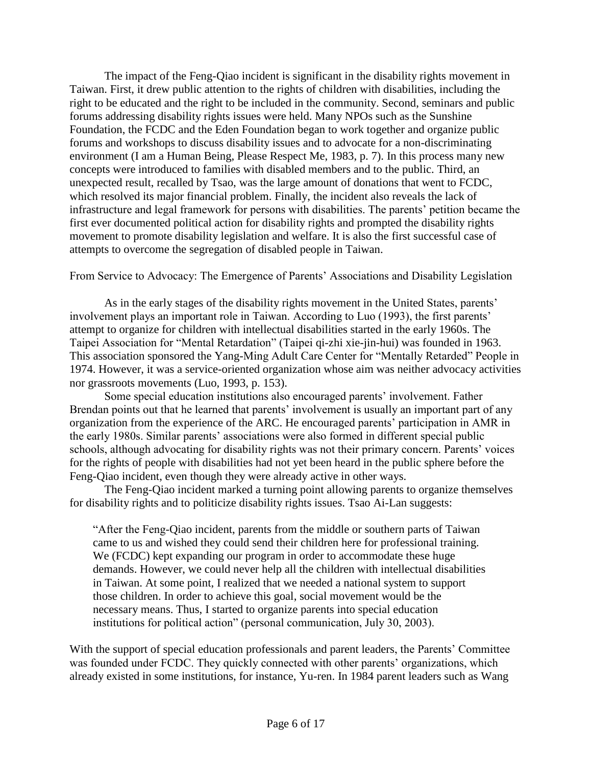The impact of the Feng-Qiao incident is significant in the disability rights movement in Taiwan. First, it drew public attention to the rights of children with disabilities, including the right to be educated and the right to be included in the community. Second, seminars and public forums addressing disability rights issues were held. Many NPOs such as the Sunshine Foundation, the FCDC and the Eden Foundation began to work together and organize public forums and workshops to discuss disability issues and to advocate for a non-discriminating environment (I am a Human Being, Please Respect Me, 1983, p. 7). In this process many new concepts were introduced to families with disabled members and to the public. Third, an unexpected result, recalled by Tsao, was the large amount of donations that went to FCDC, which resolved its major financial problem. Finally, the incident also reveals the lack of infrastructure and legal framework for persons with disabilities. The parents' petition became the first ever documented political action for disability rights and prompted the disability rights movement to promote disability legislation and welfare. It is also the first successful case of attempts to overcome the segregation of disabled people in Taiwan.

From Service to Advocacy: The Emergence of Parents' Associations and Disability Legislation

As in the early stages of the disability rights movement in the United States, parents' involvement plays an important role in Taiwan. According to Luo (1993), the first parents' attempt to organize for children with intellectual disabilities started in the early 1960s. The Taipei Association for "Mental Retardation" (Taipei qi-zhi xie-jin-hui) was founded in 1963. This association sponsored the Yang-Ming Adult Care Center for "Mentally Retarded" People in 1974. However, it was a service-oriented organization whose aim was neither advocacy activities nor grassroots movements (Luo, 1993, p. 153).

Some special education institutions also encouraged parents' involvement. Father Brendan points out that he learned that parents' involvement is usually an important part of any organization from the experience of the ARC. He encouraged parents' participation in AMR in the early 1980s. Similar parents' associations were also formed in different special public schools, although advocating for disability rights was not their primary concern. Parents' voices for the rights of people with disabilities had not yet been heard in the public sphere before the Feng-Qiao incident, even though they were already active in other ways.

The Feng-Qiao incident marked a turning point allowing parents to organize themselves for disability rights and to politicize disability rights issues. Tsao Ai-Lan suggests:

"After the Feng-Qiao incident, parents from the middle or southern parts of Taiwan came to us and wished they could send their children here for professional training. We (FCDC) kept expanding our program in order to accommodate these huge demands. However, we could never help all the children with intellectual disabilities in Taiwan. At some point, I realized that we needed a national system to support those children. In order to achieve this goal, social movement would be the necessary means. Thus, I started to organize parents into special education institutions for political action" (personal communication, July 30, 2003).

With the support of special education professionals and parent leaders, the Parents' Committee was founded under FCDC. They quickly connected with other parents' organizations, which already existed in some institutions, for instance, Yu-ren. In 1984 parent leaders such as Wang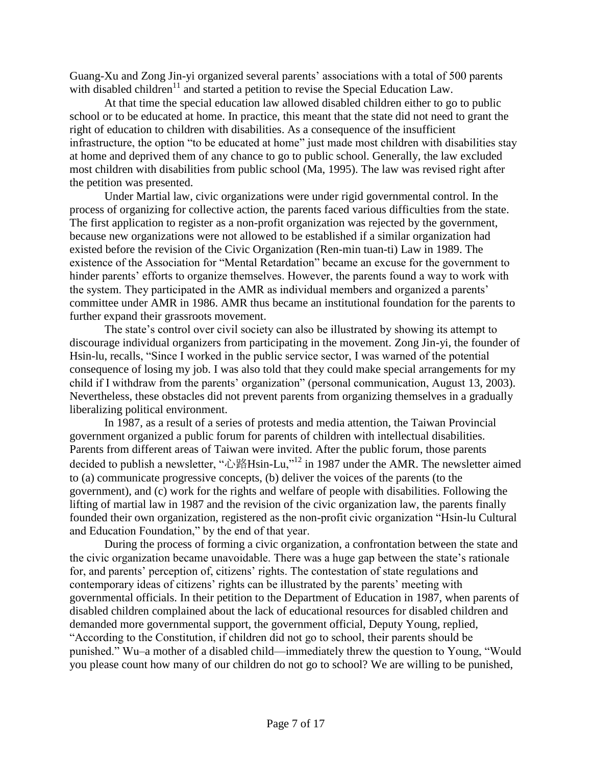Guang-Xu and Zong Jin-yi organized several parents' associations with a total of 500 parents with disabled children<sup>11</sup> and started a petition to revise the Special Education Law.

At that time the special education law allowed disabled children either to go to public school or to be educated at home. In practice, this meant that the state did not need to grant the right of education to children with disabilities. As a consequence of the insufficient infrastructure, the option "to be educated at home" just made most children with disabilities stay at home and deprived them of any chance to go to public school. Generally, the law excluded most children with disabilities from public school (Ma, 1995). The law was revised right after the petition was presented.

Under Martial law, civic organizations were under rigid governmental control. In the process of organizing for collective action, the parents faced various difficulties from the state. The first application to register as a non-profit organization was rejected by the government, because new organizations were not allowed to be established if a similar organization had existed before the revision of the Civic Organization (Ren-min tuan-ti) Law in 1989. The existence of the Association for "Mental Retardation" became an excuse for the government to hinder parents' efforts to organize themselves. However, the parents found a way to work with the system. They participated in the AMR as individual members and organized a parents' committee under AMR in 1986. AMR thus became an institutional foundation for the parents to further expand their grassroots movement.

The state's control over civil society can also be illustrated by showing its attempt to discourage individual organizers from participating in the movement. Zong Jin-yi, the founder of Hsin-lu, recalls, "Since I worked in the public service sector, I was warned of the potential consequence of losing my job. I was also told that they could make special arrangements for my child if I withdraw from the parents' organization" (personal communication, August 13, 2003). Nevertheless, these obstacles did not prevent parents from organizing themselves in a gradually liberalizing political environment.

In 1987, as a result of a series of protests and media attention, the Taiwan Provincial government organized a public forum for parents of children with intellectual disabilities. Parents from different areas of Taiwan were invited. After the public forum, those parents decided to publish a newsletter, "心路Hsin-Lu,"<sup>12</sup> in 1987 under the AMR. The newsletter aimed to (a) communicate progressive concepts, (b) deliver the voices of the parents (to the government), and (c) work for the rights and welfare of people with disabilities. Following the lifting of martial law in 1987 and the revision of the civic organization law, the parents finally founded their own organization, registered as the non-profit civic organization "Hsin-lu Cultural and Education Foundation," by the end of that year.

During the process of forming a civic organization, a confrontation between the state and the civic organization became unavoidable. There was a huge gap between the state's rationale for, and parents' perception of, citizens' rights. The contestation of state regulations and contemporary ideas of citizens' rights can be illustrated by the parents' meeting with governmental officials. In their petition to the Department of Education in 1987, when parents of disabled children complained about the lack of educational resources for disabled children and demanded more governmental support, the government official, Deputy Young, replied, "According to the Constitution, if children did not go to school, their parents should be punished." Wu–a mother of a disabled child—immediately threw the question to Young, "Would you please count how many of our children do not go to school? We are willing to be punished,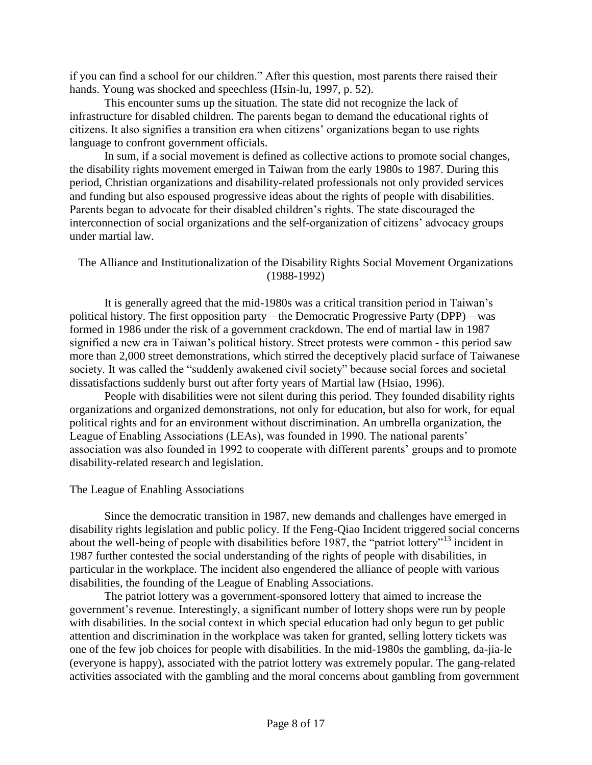if you can find a school for our children." After this question, most parents there raised their hands. Young was shocked and speechless (Hsin-lu, 1997, p. 52).

This encounter sums up the situation. The state did not recognize the lack of infrastructure for disabled children. The parents began to demand the educational rights of citizens. It also signifies a transition era when citizens' organizations began to use rights language to confront government officials.

In sum, if a social movement is defined as collective actions to promote social changes, the disability rights movement emerged in Taiwan from the early 1980s to 1987. During this period, Christian organizations and disability-related professionals not only provided services and funding but also espoused progressive ideas about the rights of people with disabilities. Parents began to advocate for their disabled children's rights. The state discouraged the interconnection of social organizations and the self-organization of citizens' advocacy groups under martial law.

### The Alliance and Institutionalization of the Disability Rights Social Movement Organizations (1988-1992)

It is generally agreed that the mid-1980s was a critical transition period in Taiwan's political history. The first opposition party—the Democratic Progressive Party (DPP)—was formed in 1986 under the risk of a government crackdown. The end of martial law in 1987 signified a new era in Taiwan's political history. Street protests were common - this period saw more than 2,000 street demonstrations, which stirred the deceptively placid surface of Taiwanese society. It was called the "suddenly awakened civil society" because social forces and societal dissatisfactions suddenly burst out after forty years of Martial law (Hsiao, 1996).

People with disabilities were not silent during this period. They founded disability rights organizations and organized demonstrations, not only for education, but also for work, for equal political rights and for an environment without discrimination. An umbrella organization, the League of Enabling Associations (LEAs), was founded in 1990. The national parents' association was also founded in 1992 to cooperate with different parents' groups and to promote disability-related research and legislation.

#### The League of Enabling Associations

Since the democratic transition in 1987, new demands and challenges have emerged in disability rights legislation and public policy. If the Feng-Qiao Incident triggered social concerns about the well-being of people with disabilities before 1987, the "patriot lottery"<sup>13</sup> incident in 1987 further contested the social understanding of the rights of people with disabilities, in particular in the workplace. The incident also engendered the alliance of people with various disabilities, the founding of the League of Enabling Associations.

The patriot lottery was a government-sponsored lottery that aimed to increase the government's revenue. Interestingly, a significant number of lottery shops were run by people with disabilities. In the social context in which special education had only begun to get public attention and discrimination in the workplace was taken for granted, selling lottery tickets was one of the few job choices for people with disabilities. In the mid-1980s the gambling, da-jia-le (everyone is happy), associated with the patriot lottery was extremely popular. The gang-related activities associated with the gambling and the moral concerns about gambling from government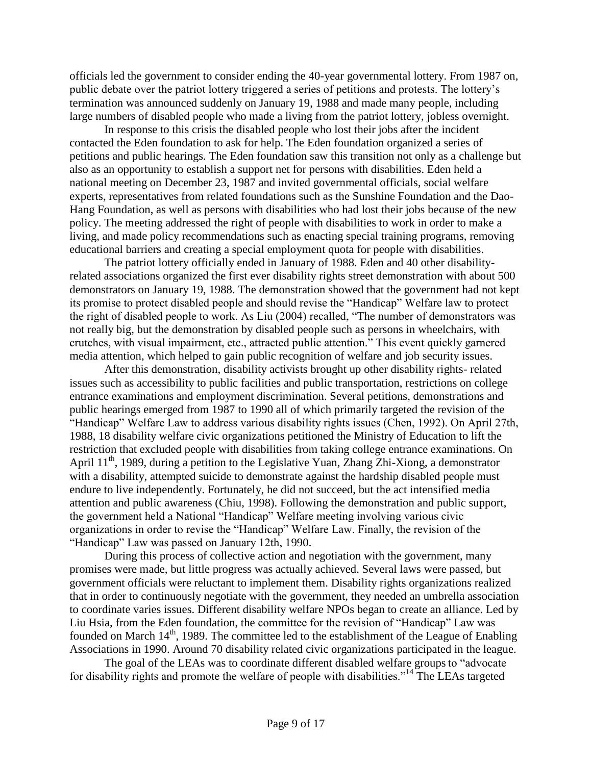officials led the government to consider ending the 40-year governmental lottery. From 1987 on, public debate over the patriot lottery triggered a series of petitions and protests. The lottery's termination was announced suddenly on January 19, 1988 and made many people, including large numbers of disabled people who made a living from the patriot lottery, jobless overnight.

In response to this crisis the disabled people who lost their jobs after the incident contacted the Eden foundation to ask for help. The Eden foundation organized a series of petitions and public hearings. The Eden foundation saw this transition not only as a challenge but also as an opportunity to establish a support net for persons with disabilities. Eden held a national meeting on December 23, 1987 and invited governmental officials, social welfare experts, representatives from related foundations such as the Sunshine Foundation and the Dao-Hang Foundation, as well as persons with disabilities who had lost their jobs because of the new policy. The meeting addressed the right of people with disabilities to work in order to make a living, and made policy recommendations such as enacting special training programs, removing educational barriers and creating a special employment quota for people with disabilities.

The patriot lottery officially ended in January of 1988. Eden and 40 other disabilityrelated associations organized the first ever disability rights street demonstration with about 500 demonstrators on January 19, 1988. The demonstration showed that the government had not kept its promise to protect disabled people and should revise the "Handicap" Welfare law to protect the right of disabled people to work. As Liu (2004) recalled, "The number of demonstrators was not really big, but the demonstration by disabled people such as persons in wheelchairs, with crutches, with visual impairment, etc., attracted public attention." This event quickly garnered media attention, which helped to gain public recognition of welfare and job security issues.

After this demonstration, disability activists brought up other disability rights- related issues such as accessibility to public facilities and public transportation, restrictions on college entrance examinations and employment discrimination. Several petitions, demonstrations and public hearings emerged from 1987 to 1990 all of which primarily targeted the revision of the "Handicap" Welfare Law to address various disability rights issues (Chen, 1992). On April 27th, 1988, 18 disability welfare civic organizations petitioned the Ministry of Education to lift the restriction that excluded people with disabilities from taking college entrance examinations. On April 11<sup>th</sup>, 1989, during a petition to the Legislative Yuan, Zhang Zhi-Xiong, a demonstrator with a disability, attempted suicide to demonstrate against the hardship disabled people must endure to live independently. Fortunately, he did not succeed, but the act intensified media attention and public awareness (Chiu, 1998). Following the demonstration and public support, the government held a National "Handicap" Welfare meeting involving various civic organizations in order to revise the "Handicap" Welfare Law. Finally, the revision of the "Handicap" Law was passed on January 12th, 1990.

During this process of collective action and negotiation with the government, many promises were made, but little progress was actually achieved. Several laws were passed, but government officials were reluctant to implement them. Disability rights organizations realized that in order to continuously negotiate with the government, they needed an umbrella association to coordinate varies issues. Different disability welfare NPOs began to create an alliance. Led by Liu Hsia, from the Eden foundation, the committee for the revision of "Handicap" Law was founded on March  $14<sup>th</sup>$ , 1989. The committee led to the establishment of the League of Enabling Associations in 1990. Around 70 disability related civic organizations participated in the league.

The goal of the LEAs was to coordinate different disabled welfare groups to "advocate for disability rights and promote the welfare of people with disabilities."<sup>14</sup> The LEAs targeted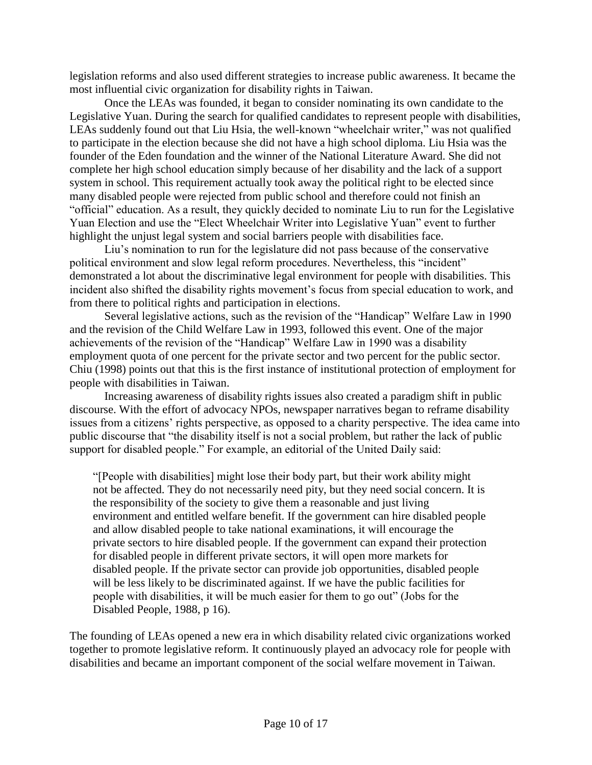legislation reforms and also used different strategies to increase public awareness. It became the most influential civic organization for disability rights in Taiwan.

Once the LEAs was founded, it began to consider nominating its own candidate to the Legislative Yuan. During the search for qualified candidates to represent people with disabilities, LEAs suddenly found out that Liu Hsia, the well-known "wheelchair writer," was not qualified to participate in the election because she did not have a high school diploma. Liu Hsia was the founder of the Eden foundation and the winner of the National Literature Award. She did not complete her high school education simply because of her disability and the lack of a support system in school. This requirement actually took away the political right to be elected since many disabled people were rejected from public school and therefore could not finish an "official" education. As a result, they quickly decided to nominate Liu to run for the Legislative Yuan Election and use the "Elect Wheelchair Writer into Legislative Yuan" event to further highlight the unjust legal system and social barriers people with disabilities face.

Liu's nomination to run for the legislature did not pass because of the conservative political environment and slow legal reform procedures. Nevertheless, this "incident" demonstrated a lot about the discriminative legal environment for people with disabilities. This incident also shifted the disability rights movement's focus from special education to work, and from there to political rights and participation in elections.

Several legislative actions, such as the revision of the "Handicap" Welfare Law in 1990 and the revision of the Child Welfare Law in 1993, followed this event. One of the major achievements of the revision of the "Handicap" Welfare Law in 1990 was a disability employment quota of one percent for the private sector and two percent for the public sector. Chiu (1998) points out that this is the first instance of institutional protection of employment for people with disabilities in Taiwan.

Increasing awareness of disability rights issues also created a paradigm shift in public discourse. With the effort of advocacy NPOs, newspaper narratives began to reframe disability issues from a citizens' rights perspective, as opposed to a charity perspective. The idea came into public discourse that "the disability itself is not a social problem, but rather the lack of public support for disabled people." For example, an editorial of the United Daily said:

"[People with disabilities] might lose their body part, but their work ability might not be affected. They do not necessarily need pity, but they need social concern. It is the responsibility of the society to give them a reasonable and just living environment and entitled welfare benefit. If the government can hire disabled people and allow disabled people to take national examinations, it will encourage the private sectors to hire disabled people. If the government can expand their protection for disabled people in different private sectors, it will open more markets for disabled people. If the private sector can provide job opportunities, disabled people will be less likely to be discriminated against. If we have the public facilities for people with disabilities, it will be much easier for them to go out" (Jobs for the Disabled People, 1988, p 16).

The founding of LEAs opened a new era in which disability related civic organizations worked together to promote legislative reform. It continuously played an advocacy role for people with disabilities and became an important component of the social welfare movement in Taiwan.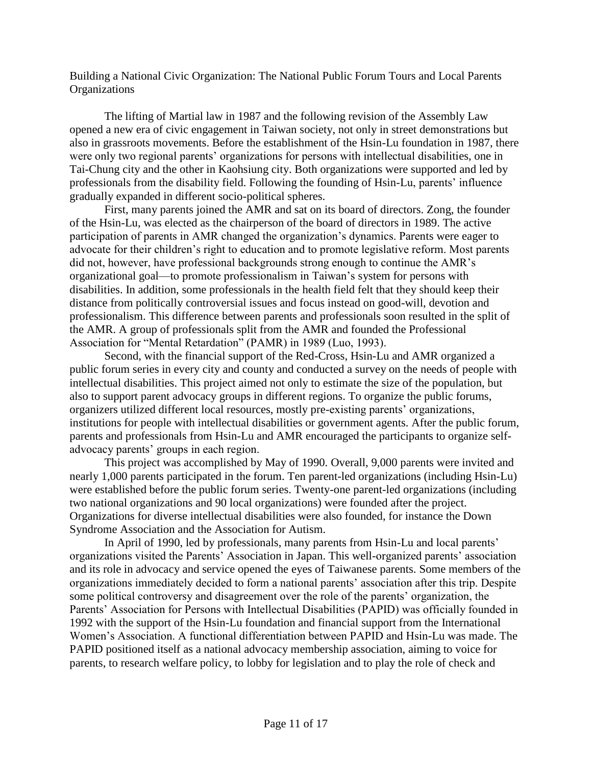Building a National Civic Organization: The National Public Forum Tours and Local Parents **Organizations** 

The lifting of Martial law in 1987 and the following revision of the Assembly Law opened a new era of civic engagement in Taiwan society, not only in street demonstrations but also in grassroots movements. Before the establishment of the Hsin-Lu foundation in 1987, there were only two regional parents' organizations for persons with intellectual disabilities, one in Tai-Chung city and the other in Kaohsiung city. Both organizations were supported and led by professionals from the disability field. Following the founding of Hsin-Lu, parents' influence gradually expanded in different socio-political spheres.

First, many parents joined the AMR and sat on its board of directors. Zong, the founder of the Hsin-Lu, was elected as the chairperson of the board of directors in 1989. The active participation of parents in AMR changed the organization's dynamics. Parents were eager to advocate for their children's right to education and to promote legislative reform. Most parents did not, however, have professional backgrounds strong enough to continue the AMR's organizational goal—to promote professionalism in Taiwan's system for persons with disabilities. In addition, some professionals in the health field felt that they should keep their distance from politically controversial issues and focus instead on good-will, devotion and professionalism. This difference between parents and professionals soon resulted in the split of the AMR. A group of professionals split from the AMR and founded the Professional Association for "Mental Retardation" (PAMR) in 1989 (Luo, 1993).

Second, with the financial support of the Red-Cross, Hsin-Lu and AMR organized a public forum series in every city and county and conducted a survey on the needs of people with intellectual disabilities. This project aimed not only to estimate the size of the population, but also to support parent advocacy groups in different regions. To organize the public forums, organizers utilized different local resources, mostly pre-existing parents' organizations, institutions for people with intellectual disabilities or government agents. After the public forum, parents and professionals from Hsin-Lu and AMR encouraged the participants to organize selfadvocacy parents' groups in each region.

This project was accomplished by May of 1990. Overall, 9,000 parents were invited and nearly 1,000 parents participated in the forum. Ten parent-led organizations (including Hsin-Lu) were established before the public forum series. Twenty-one parent-led organizations (including two national organizations and 90 local organizations) were founded after the project. Organizations for diverse intellectual disabilities were also founded, for instance the Down Syndrome Association and the Association for Autism.

In April of 1990, led by professionals, many parents from Hsin-Lu and local parents' organizations visited the Parents' Association in Japan. This well-organized parents' association and its role in advocacy and service opened the eyes of Taiwanese parents. Some members of the organizations immediately decided to form a national parents' association after this trip. Despite some political controversy and disagreement over the role of the parents' organization, the Parents' Association for Persons with Intellectual Disabilities (PAPID) was officially founded in 1992 with the support of the Hsin-Lu foundation and financial support from the International Women's Association. A functional differentiation between PAPID and Hsin-Lu was made. The PAPID positioned itself as a national advocacy membership association, aiming to voice for parents, to research welfare policy, to lobby for legislation and to play the role of check and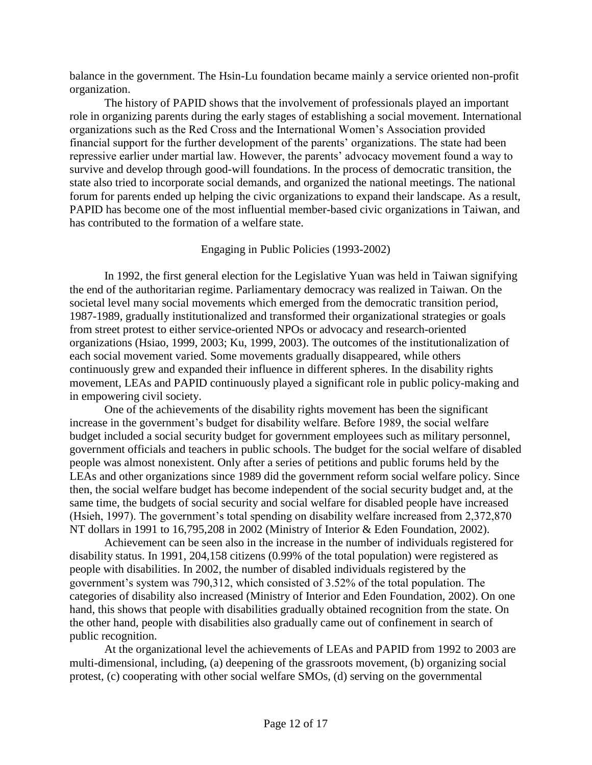balance in the government. The Hsin-Lu foundation became mainly a service oriented non-profit organization.

The history of PAPID shows that the involvement of professionals played an important role in organizing parents during the early stages of establishing a social movement. International organizations such as the Red Cross and the International Women's Association provided financial support for the further development of the parents' organizations. The state had been repressive earlier under martial law. However, the parents' advocacy movement found a way to survive and develop through good-will foundations. In the process of democratic transition, the state also tried to incorporate social demands, and organized the national meetings. The national forum for parents ended up helping the civic organizations to expand their landscape. As a result, PAPID has become one of the most influential member-based civic organizations in Taiwan, and has contributed to the formation of a welfare state.

# Engaging in Public Policies (1993-2002)

In 1992, the first general election for the Legislative Yuan was held in Taiwan signifying the end of the authoritarian regime. Parliamentary democracy was realized in Taiwan. On the societal level many social movements which emerged from the democratic transition period, 1987-1989, gradually institutionalized and transformed their organizational strategies or goals from street protest to either service-oriented NPOs or advocacy and research-oriented organizations (Hsiao, 1999, 2003; Ku, 1999, 2003). The outcomes of the institutionalization of each social movement varied. Some movements gradually disappeared, while others continuously grew and expanded their influence in different spheres. In the disability rights movement, LEAs and PAPID continuously played a significant role in public policy-making and in empowering civil society.

One of the achievements of the disability rights movement has been the significant increase in the government's budget for disability welfare. Before 1989, the social welfare budget included a social security budget for government employees such as military personnel, government officials and teachers in public schools. The budget for the social welfare of disabled people was almost nonexistent. Only after a series of petitions and public forums held by the LEAs and other organizations since 1989 did the government reform social welfare policy. Since then, the social welfare budget has become independent of the social security budget and, at the same time, the budgets of social security and social welfare for disabled people have increased (Hsieh, 1997). The government's total spending on disability welfare increased from 2,372,870 NT dollars in 1991 to 16,795,208 in 2002 (Ministry of Interior & Eden Foundation, 2002).

Achievement can be seen also in the increase in the number of individuals registered for disability status. In 1991, 204,158 citizens (0.99% of the total population) were registered as people with disabilities. In 2002, the number of disabled individuals registered by the government's system was 790,312, which consisted of 3.52% of the total population. The categories of disability also increased (Ministry of Interior and Eden Foundation, 2002). On one hand, this shows that people with disabilities gradually obtained recognition from the state. On the other hand, people with disabilities also gradually came out of confinement in search of public recognition.

At the organizational level the achievements of LEAs and PAPID from 1992 to 2003 are multi-dimensional, including, (a) deepening of the grassroots movement, (b) organizing social protest, (c) cooperating with other social welfare SMOs, (d) serving on the governmental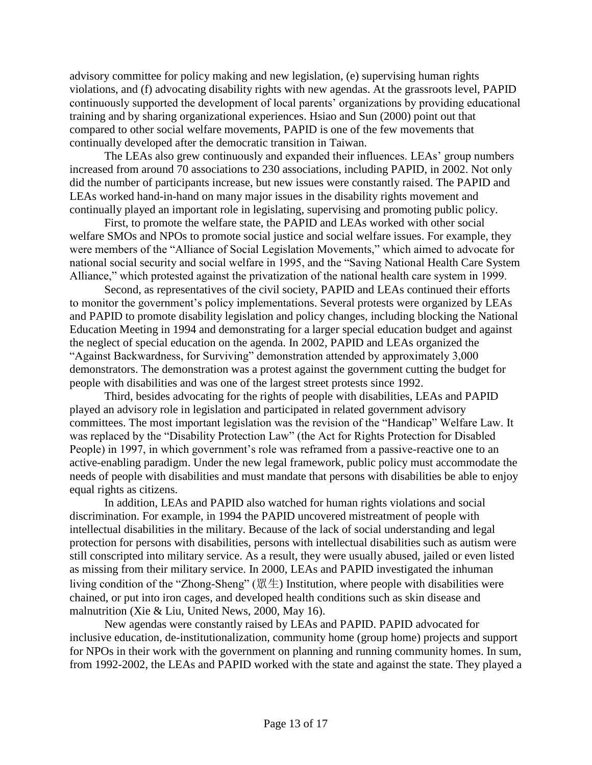advisory committee for policy making and new legislation, (e) supervising human rights violations, and (f) advocating disability rights with new agendas. At the grassroots level, PAPID continuously supported the development of local parents' organizations by providing educational training and by sharing organizational experiences. Hsiao and Sun (2000) point out that compared to other social welfare movements, PAPID is one of the few movements that continually developed after the democratic transition in Taiwan.

The LEAs also grew continuously and expanded their influences. LEAs' group numbers increased from around 70 associations to 230 associations, including PAPID, in 2002. Not only did the number of participants increase, but new issues were constantly raised. The PAPID and LEAs worked hand-in-hand on many major issues in the disability rights movement and continually played an important role in legislating, supervising and promoting public policy.

First, to promote the welfare state, the PAPID and LEAs worked with other social welfare SMOs and NPOs to promote social justice and social welfare issues. For example, they were members of the "Alliance of Social Legislation Movements," which aimed to advocate for national social security and social welfare in 1995, and the "Saving National Health Care System Alliance," which protested against the privatization of the national health care system in 1999.

Second, as representatives of the civil society, PAPID and LEAs continued their efforts to monitor the government's policy implementations. Several protests were organized by LEAs and PAPID to promote disability legislation and policy changes, including blocking the National Education Meeting in 1994 and demonstrating for a larger special education budget and against the neglect of special education on the agenda. In 2002, PAPID and LEAs organized the "Against Backwardness, for Surviving" demonstration attended by approximately 3,000 demonstrators. The demonstration was a protest against the government cutting the budget for people with disabilities and was one of the largest street protests since 1992.

Third, besides advocating for the rights of people with disabilities, LEAs and PAPID played an advisory role in legislation and participated in related government advisory committees. The most important legislation was the revision of the "Handicap" Welfare Law. It was replaced by the "Disability Protection Law" (the Act for Rights Protection for Disabled People) in 1997, in which government's role was reframed from a passive-reactive one to an active-enabling paradigm. Under the new legal framework, public policy must accommodate the needs of people with disabilities and must mandate that persons with disabilities be able to enjoy equal rights as citizens.

In addition, LEAs and PAPID also watched for human rights violations and social discrimination. For example, in 1994 the PAPID uncovered mistreatment of people with intellectual disabilities in the military. Because of the lack of social understanding and legal protection for persons with disabilities, persons with intellectual disabilities such as autism were still conscripted into military service. As a result, they were usually abused, jailed or even listed as missing from their military service. In 2000, LEAs and PAPID investigated the inhuman living condition of the "Zhong-Sheng" ( $\mathbb{R}$ ±) Institution, where people with disabilities were chained, or put into iron cages, and developed health conditions such as skin disease and malnutrition (Xie & Liu, United News, 2000, May 16).

New agendas were constantly raised by LEAs and PAPID. PAPID advocated for inclusive education, de-institutionalization, community home (group home) projects and support for NPOs in their work with the government on planning and running community homes. In sum, from 1992-2002, the LEAs and PAPID worked with the state and against the state. They played a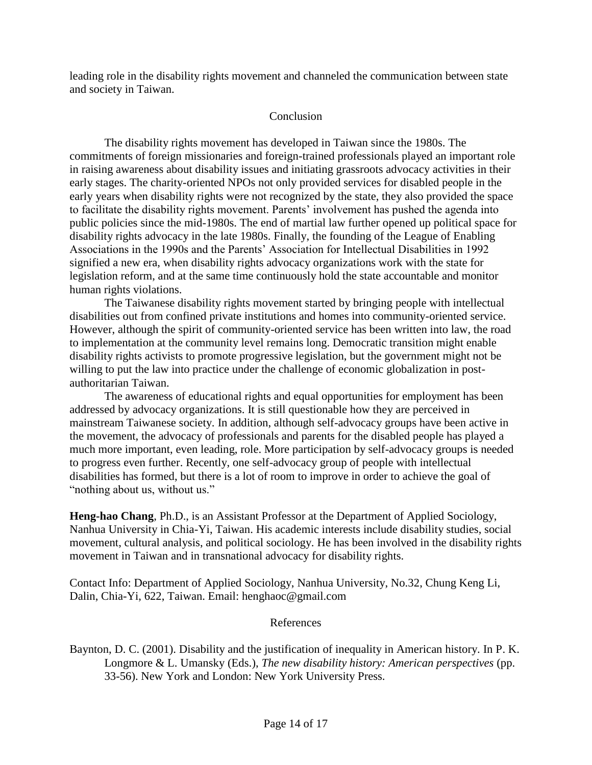leading role in the disability rights movement and channeled the communication between state and society in Taiwan.

### Conclusion

The disability rights movement has developed in Taiwan since the 1980s. The commitments of foreign missionaries and foreign-trained professionals played an important role in raising awareness about disability issues and initiating grassroots advocacy activities in their early stages. The charity-oriented NPOs not only provided services for disabled people in the early years when disability rights were not recognized by the state, they also provided the space to facilitate the disability rights movement. Parents' involvement has pushed the agenda into public policies since the mid-1980s. The end of martial law further opened up political space for disability rights advocacy in the late 1980s. Finally, the founding of the League of Enabling Associations in the 1990s and the Parents' Association for Intellectual Disabilities in 1992 signified a new era, when disability rights advocacy organizations work with the state for legislation reform, and at the same time continuously hold the state accountable and monitor human rights violations.

The Taiwanese disability rights movement started by bringing people with intellectual disabilities out from confined private institutions and homes into community-oriented service. However, although the spirit of community-oriented service has been written into law, the road to implementation at the community level remains long. Democratic transition might enable disability rights activists to promote progressive legislation, but the government might not be willing to put the law into practice under the challenge of economic globalization in postauthoritarian Taiwan.

The awareness of educational rights and equal opportunities for employment has been addressed by advocacy organizations. It is still questionable how they are perceived in mainstream Taiwanese society. In addition, although self-advocacy groups have been active in the movement, the advocacy of professionals and parents for the disabled people has played a much more important, even leading, role. More participation by self-advocacy groups is needed to progress even further. Recently, one self-advocacy group of people with intellectual disabilities has formed, but there is a lot of room to improve in order to achieve the goal of "nothing about us, without us."

**Heng-hao Chang**, Ph.D., is an Assistant Professor at the Department of Applied Sociology, Nanhua University in Chia-Yi, Taiwan. His academic interests include disability studies, social movement, cultural analysis, and political sociology. He has been involved in the disability rights movement in Taiwan and in transnational advocacy for disability rights.

Contact Info: Department of Applied Sociology, Nanhua University, No.32, Chung Keng Li, Dalin, Chia-Yi, 622, Taiwan. Email: henghaoc@gmail.com

#### References

Baynton, D. C. (2001). Disability and the justification of inequality in American history. In P. K. Longmore & L. Umansky (Eds.), *The new disability history: American perspectives* (pp. 33-56). New York and London: New York University Press.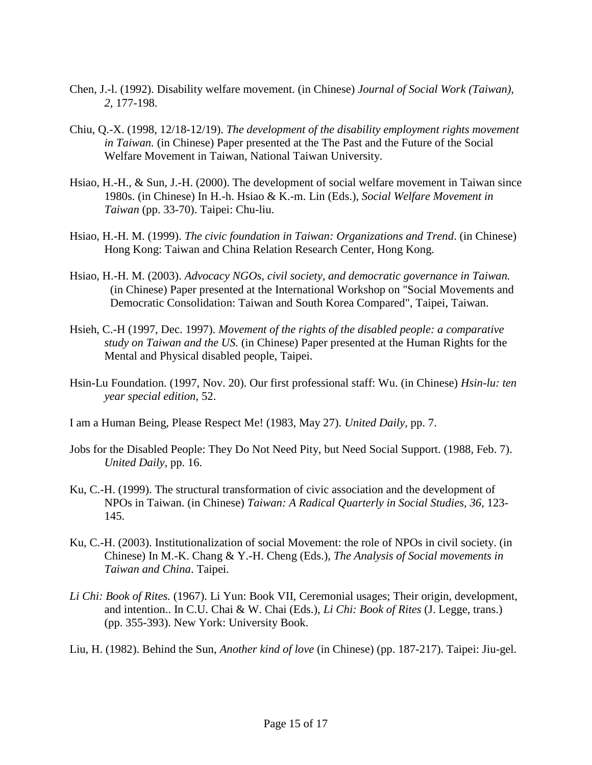- Chen, J.-l. (1992). Disability welfare movement. (in Chinese) *Journal of Social Work (Taiwan), 2*, 177-198.
- Chiu, Q.-X. (1998, 12/18-12/19). *The development of the disability employment rights movement in Taiwan.* (in Chinese) Paper presented at the The Past and the Future of the Social Welfare Movement in Taiwan, National Taiwan University.
- Hsiao, H.-H., & Sun, J.-H. (2000). The development of social welfare movement in Taiwan since 1980s. (in Chinese) In H.-h. Hsiao & K.-m. Lin (Eds.), *Social Welfare Movement in Taiwan* (pp. 33-70). Taipei: Chu-liu.
- Hsiao, H.-H. M. (1999). *The civic foundation in Taiwan: Organizations and Trend*. (in Chinese) Hong Kong: Taiwan and China Relation Research Center, Hong Kong.
- Hsiao, H.-H. M. (2003). *Advocacy NGOs, civil society, and democratic governance in Taiwan.* (in Chinese) Paper presented at the International Workshop on "Social Movements and Democratic Consolidation: Taiwan and South Korea Compared", Taipei, Taiwan.
- Hsieh, C.-H (1997, Dec. 1997). *Movement of the rights of the disabled people: a comparative study on Taiwan and the US.* (in Chinese) Paper presented at the Human Rights for the Mental and Physical disabled people, Taipei.
- Hsin-Lu Foundation. (1997, Nov. 20). Our first professional staff: Wu. (in Chinese) *Hsin-lu: ten year special edition,* 52.
- I am a Human Being, Please Respect Me! (1983, May 27). *United Daily,* pp. 7.
- Jobs for the Disabled People: They Do Not Need Pity, but Need Social Support. (1988, Feb. 7). *United Daily,* pp. 16.
- Ku, C.-H. (1999). The structural transformation of civic association and the development of NPOs in Taiwan. (in Chinese) *Taiwan: A Radical Quarterly in Social Studies, 36*, 123- 145.
- Ku, C.-H. (2003). Institutionalization of social Movement: the role of NPOs in civil society. (in Chinese) In M.-K. Chang & Y.-H. Cheng (Eds.), *The Analysis of Social movements in Taiwan and China*. Taipei.
- *Li Chi: Book of Rites.* (1967). Li Yun: Book VII, Ceremonial usages; Their origin, development, and intention.. In C.U. Chai & W. Chai (Eds.), *Li Chi: Book of Rites* (J. Legge, trans.) (pp. 355-393). New York: University Book.
- Liu, H. (1982). Behind the Sun, *Another kind of love* (in Chinese) (pp. 187-217). Taipei: Jiu-gel.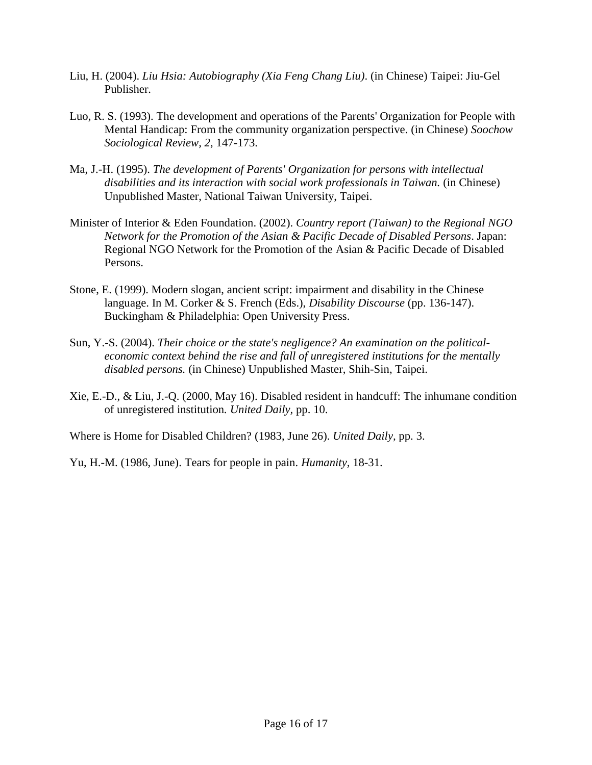- Liu, H. (2004). *Liu Hsia: Autobiography (Xia Feng Chang Liu)*. (in Chinese) Taipei: Jiu-Gel Publisher.
- Luo, R. S. (1993). The development and operations of the Parents' Organization for People with Mental Handicap: From the community organization perspective. (in Chinese) *Soochow Sociological Review, 2*, 147-173.
- Ma, J.-H. (1995). *The development of Parents' Organization for persons with intellectual disabilities and its interaction with social work professionals in Taiwan.* (in Chinese) Unpublished Master, National Taiwan University, Taipei.
- Minister of Interior & Eden Foundation. (2002). *Country report (Taiwan) to the Regional NGO Network for the Promotion of the Asian & Pacific Decade of Disabled Persons*. Japan: Regional NGO Network for the Promotion of the Asian & Pacific Decade of Disabled Persons.
- Stone, E. (1999). Modern slogan, ancient script: impairment and disability in the Chinese language. In M. Corker & S. French (Eds.), *Disability Discourse* (pp. 136-147). Buckingham & Philadelphia: Open University Press.
- Sun, Y.-S. (2004). *Their choice or the state's negligence? An examination on the politicaleconomic context behind the rise and fall of unregistered institutions for the mentally disabled persons.* (in Chinese) Unpublished Master, Shih-Sin, Taipei.
- Xie, E.-D., & Liu, J.-Q. (2000, May 16). Disabled resident in handcuff: The inhumane condition of unregistered institution*. United Daily,* pp. 10.

Where is Home for Disabled Children? (1983, June 26). *United Daily,* pp. 3.

Yu, H.-M. (1986, June). Tears for people in pain. *Humanity,* 18-31.